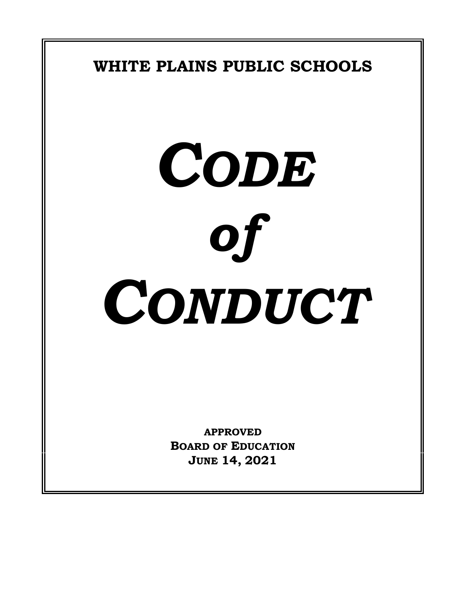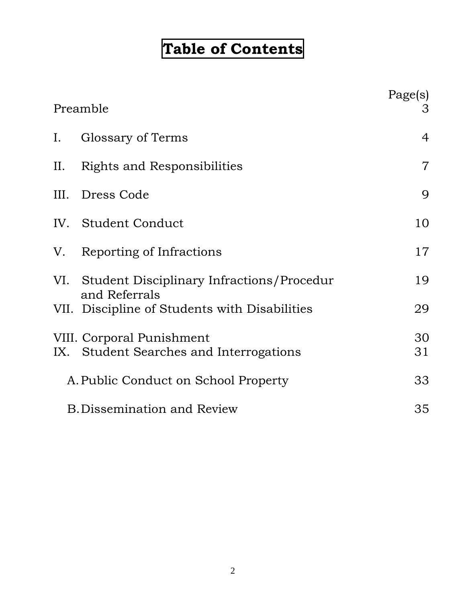# **Table of Contents**

| Preamble                             |                                                                      | Page(s)<br>3   |
|--------------------------------------|----------------------------------------------------------------------|----------------|
| I.                                   | Glossary of Terms                                                    | 4              |
| II.                                  | Rights and Responsibilities                                          | $\overline{7}$ |
| III.                                 | Dress Code                                                           | 9              |
|                                      | IV. Student Conduct                                                  | 10             |
|                                      | V. Reporting of Infractions                                          | 17             |
|                                      | VI. Student Disciplinary Infractions/Procedur<br>and Referrals       | 19             |
|                                      | VII. Discipline of Students with Disabilities                        | 29             |
|                                      | VIII. Corporal Punishment<br>IX. Student Searches and Interrogations | 30<br>31       |
| A. Public Conduct on School Property |                                                                      | 33             |
| <b>B.Dissemination and Review</b>    |                                                                      | 35             |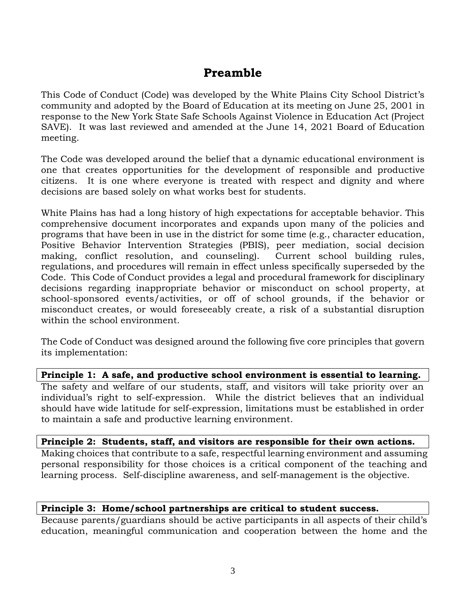# **Preamble**

This Code of Conduct (Code) was developed by the White Plains City School District's community and adopted by the Board of Education at its meeting on June 25, 2001 in response to the New York State Safe Schools Against Violence in Education Act (Project SAVE). It was last reviewed and amended at the June 14, 2021 Board of Education meeting.

The Code was developed around the belief that a dynamic educational environment is one that creates opportunities for the development of responsible and productive citizens. It is one where everyone is treated with respect and dignity and where decisions are based solely on what works best for students.

White Plains has had a long history of high expectations for acceptable behavior. This comprehensive document incorporates and expands upon many of the policies and programs that have been in use in the district for some time (e.g., character education, Positive Behavior Intervention Strategies (PBIS), peer mediation, social decision making, conflict resolution, and counseling). Current school building rules, regulations, and procedures will remain in effect unless specifically superseded by the Code. This Code of Conduct provides a legal and procedural framework for disciplinary decisions regarding inappropriate behavior or misconduct on school property, at school-sponsored events/activities, or off of school grounds, if the behavior or misconduct creates, or would foreseeably create, a risk of a substantial disruption within the school environment.

The Code of Conduct was designed around the following five core principles that govern its implementation:

#### **Principle 1: A safe, and productive school environment is essential to learning.**

The safety and welfare of our students, staff, and visitors will take priority over an individual's right to self-expression. While the district believes that an individual should have wide latitude for self-expression, limitations must be established in order to maintain a safe and productive learning environment.

#### **Principle 2: Students, staff, and visitors are responsible for their own actions.**

Making choices that contribute to a safe, respectful learning environment and assuming personal responsibility for those choices is a critical component of the teaching and learning process. Self-discipline awareness, and self-management is the objective.

#### **Principle 3: Home/school partnerships are critical to student success.**

Because parents/guardians should be active participants in all aspects of their child's education, meaningful communication and cooperation between the home and the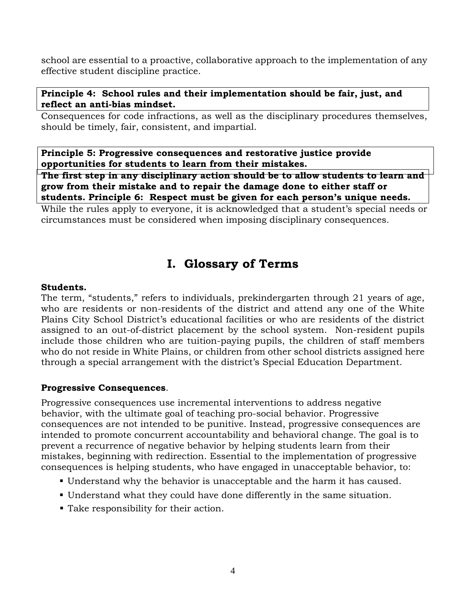school are essential to a proactive, collaborative approach to the implementation of any effective student discipline practice.

### **Principle 4: School rules and their implementation should be fair, just, and reflect an anti-bias mindset.**

Consequences for code infractions, as well as the disciplinary procedures themselves, should be timely, fair, consistent, and impartial.

**Principle 5: Progressive consequences and restorative justice provide opportunities for students to learn from their mistakes.**

**The first step in any disciplinary action should be to allow students to learn and grow from their mistake and to repair the damage done to either staff or students. Principle 6: Respect must be given for each person's unique needs.**

While the rules apply to everyone, it is acknowledged that a student's special needs or circumstances must be considered when imposing disciplinary consequences.

# **I. Glossary of Terms**

### **Students.**

The term, "students," refers to individuals, prekindergarten through 21 years of age, who are residents or non-residents of the district and attend any one of the White Plains City School District's educational facilities or who are residents of the district assigned to an out-of-district placement by the school system. Non-resident pupils include those children who are tuition-paying pupils, the children of staff members who do not reside in White Plains, or children from other school districts assigned here through a special arrangement with the district's Special Education Department.

# **Progressive Consequences**.

Progressive consequences use incremental interventions to address negative behavior, with the ultimate goal of teaching pro-social behavior. Progressive consequences are not intended to be punitive. Instead, progressive consequences are intended to promote concurrent accountability and behavioral change. The goal is to prevent a recurrence of negative behavior by helping students learn from their mistakes, beginning with redirection. Essential to the implementation of progressive consequences is helping students, who have engaged in unacceptable behavior, to:

- Understand why the behavior is unacceptable and the harm it has caused.
- Understand what they could have done differently in the same situation.
- Take responsibility for their action.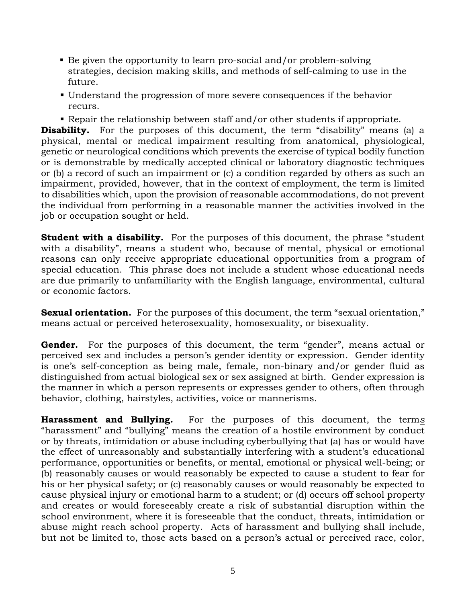- Be given the opportunity to learn pro-social and/or problem-solving strategies, decision making skills, and methods of self-calming to use in the future.
- Understand the progression of more severe consequences if the behavior recurs.
- Repair the relationship between staff and/or other students if appropriate.

**Disability.** For the purposes of this document, the term "disability" means (a) a physical, mental or medical impairment resulting from anatomical, physiological, genetic or neurological conditions which prevents the exercise of typical bodily function or is demonstrable by medically accepted clinical or laboratory diagnostic techniques or (b) a record of such an impairment or (c) a condition regarded by others as such an impairment, provided, however, that in the context of employment, the term is limited to disabilities which, upon the provision of reasonable accommodations, do not prevent the individual from performing in a reasonable manner the activities involved in the job or occupation sought or held.

**Student with a disability.** For the purposes of this document, the phrase "student" with a disability", means a student who, because of mental, physical or emotional reasons can only receive appropriate educational opportunities from a program of special education. This phrase does not include a student whose educational needs are due primarily to unfamiliarity with the English language, environmental, cultural or economic factors.

**Sexual orientation.** For the purposes of this document, the term "sexual orientation," means actual or perceived heterosexuality, homosexuality, or bisexuality.

**Gender.** For the purposes of this document, the term "gender", means actual or perceived sex and includes a person's gender identity or expression. Gender identity is one's self-conception as being male, female, non-binary and/or gender fluid as distinguished from actual biological sex or sex assigned at birth. Gender expression is the manner in which a person represents or expresses gender to others, often through behavior, clothing, hairstyles, activities, voice or mannerisms.

**Harassment and Bullying.** For the purposes of this document, the term*s* "harassment" and "bullying" means the creation of a hostile environment by conduct or by threats, intimidation or abuse including cyberbullying that (a) has or would have the effect of unreasonably and substantially interfering with a student's educational performance, opportunities or benefits, or mental, emotional or physical well-being; or (b) reasonably causes or would reasonably be expected to cause a student to fear for his or her physical safety; or (c) reasonably causes or would reasonably be expected to cause physical injury or emotional harm to a student; or (d) occurs off school property and creates or would foreseeably create a risk of substantial disruption within the school environment, where it is foreseeable that the conduct, threats, intimidation or abuse might reach school property. Acts of harassment and bullying shall include, but not be limited to, those acts based on a person's actual or perceived race, color,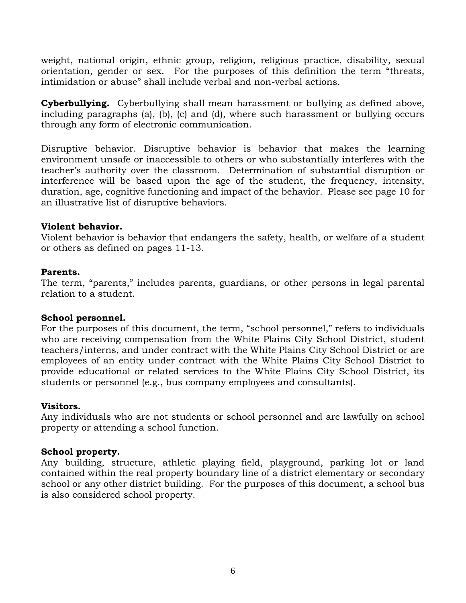weight, national origin, ethnic group, religion, religious practice, disability, sexual orientation, gender or sex. For the purposes of this definition the term "threats, intimidation or abuse" shall include verbal and non-verbal actions.

**Cyberbullying.** Cyberbullying shall mean harassment or bullying as defined above, including paragraphs (a), (b), (c) and (d), where such harassment or bullying occurs through any form of electronic communication.

Disruptive behavior. Disruptive behavior is behavior that makes the learning environment unsafe or inaccessible to others or who substantially interferes with the teacher's authority over the classroom. Determination of substantial disruption or interference will be based upon the age of the student, the frequency, intensity, duration, age, cognitive functioning and impact of the behavior. Please see page 10 for an illustrative list of disruptive behaviors.

#### **Violent behavior.**

Violent behavior is behavior that endangers the safety, health, or welfare of a student or others as defined on pages 11-13.

### **Parents.**

The term, "parents," includes parents, guardians, or other persons in legal parental relation to a student.

#### **School personnel.**

For the purposes of this document, the term, "school personnel," refers to individuals who are receiving compensation from the White Plains City School District, student teachers/interns, and under contract with the White Plains City School District or are employees of an entity under contract with the White Plains City School District to provide educational or related services to the White Plains City School District, its students or personnel (e.g., bus company employees and consultants).

#### **Visitors.**

Any individuals who are not students or school personnel and are lawfully on school property or attending a school function.

#### **School property.**

Any building, structure, athletic playing field, playground, parking lot or land contained within the real property boundary line of a district elementary or secondary school or any other district building. For the purposes of this document, a school bus is also considered school property.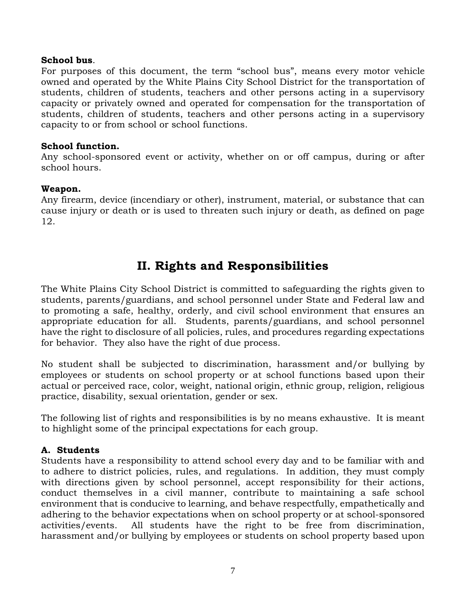#### **School bus**.

For purposes of this document, the term "school bus", means every motor vehicle owned and operated by the White Plains City School District for the transportation of students, children of students, teachers and other persons acting in a supervisory capacity or privately owned and operated for compensation for the transportation of students, children of students, teachers and other persons acting in a supervisory capacity to or from school or school functions.

#### **School function.**

Any school-sponsored event or activity, whether on or off campus, during or after school hours.

#### **Weapon.**

Any firearm, device (incendiary or other), instrument, material, or substance that can cause injury or death or is used to threaten such injury or death, as defined on page 12.

# **II. Rights and Responsibilities**

The White Plains City School District is committed to safeguarding the rights given to students, parents/guardians, and school personnel under State and Federal law and to promoting a safe, healthy, orderly, and civil school environment that ensures an appropriate education for all. Students, parents/guardians, and school personnel have the right to disclosure of all policies, rules, and procedures regarding expectations for behavior. They also have the right of due process.

No student shall be subjected to discrimination, harassment and/or bullying by employees or students on school property or at school functions based upon their actual or perceived race, color, weight, national origin, ethnic group, religion, religious practice, disability, sexual orientation, gender or sex.

The following list of rights and responsibilities is by no means exhaustive. It is meant to highlight some of the principal expectations for each group.

# **A. Students**

Students have a responsibility to attend school every day and to be familiar with and to adhere to district policies, rules, and regulations. In addition, they must comply with directions given by school personnel, accept responsibility for their actions, conduct themselves in a civil manner, contribute to maintaining a safe school environment that is conducive to learning, and behave respectfully, empathetically and adhering to the behavior expectations when on school property or at school-sponsored activities/events. All students have the right to be free from discrimination, harassment and/or bullying by employees or students on school property based upon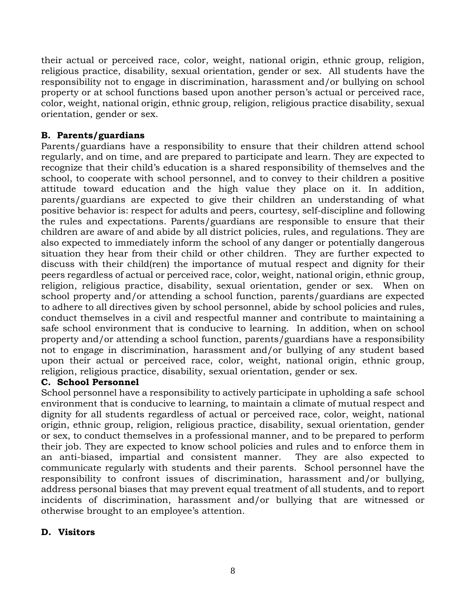their actual or perceived race, color, weight, national origin, ethnic group, religion, religious practice, disability, sexual orientation, gender or sex. All students have the responsibility not to engage in discrimination, harassment and/or bullying on school property or at school functions based upon another person's actual or perceived race, color, weight, national origin, ethnic group, religion, religious practice disability, sexual orientation, gender or sex.

# **B. Parents/guardians**

Parents/guardians have a responsibility to ensure that their children attend school regularly, and on time, and are prepared to participate and learn. They are expected to recognize that their child's education is a shared responsibility of themselves and the school, to cooperate with school personnel, and to convey to their children a positive attitude toward education and the high value they place on it. In addition, parents/guardians are expected to give their children an understanding of what positive behavior is: respect for adults and peers, courtesy, self-discipline and following the rules and expectations. Parents/guardians are responsible to ensure that their children are aware of and abide by all district policies, rules, and regulations. They are also expected to immediately inform the school of any danger or potentially dangerous situation they hear from their child or other children. They are further expected to discuss with their child(ren) the importance of mutual respect and dignity for their peers regardless of actual or perceived race, color, weight, national origin, ethnic group, religion, religious practice, disability, sexual orientation, gender or sex. When on school property and/or attending a school function, parents/guardians are expected to adhere to all directives given by school personnel, abide by school policies and rules, conduct themselves in a civil and respectful manner and contribute to maintaining a safe school environment that is conducive to learning. In addition, when on school property and/or attending a school function, parents/guardians have a responsibility not to engage in discrimination, harassment and/or bullying of any student based upon their actual or perceived race, color, weight, national origin, ethnic group, religion, religious practice, disability, sexual orientation, gender or sex.

# **C. School Personnel**

School personnel have a responsibility to actively participate in upholding a safe school environment that is conducive to learning, to maintain a climate of mutual respect and dignity for all students regardless of actual or perceived race, color, weight, national origin, ethnic group, religion, religious practice, disability, sexual orientation, gender or sex, to conduct themselves in a professional manner, and to be prepared to perform their job. They are expected to know school policies and rules and to enforce them in an anti-biased, impartial and consistent manner. They are also expected to communicate regularly with students and their parents. School personnel have the responsibility to confront issues of discrimination, harassment and/or bullying, address personal biases that may prevent equal treatment of all students, and to report incidents of discrimination, harassment and/or bullying that are witnessed or otherwise brought to an employee's attention.

# **D. Visitors**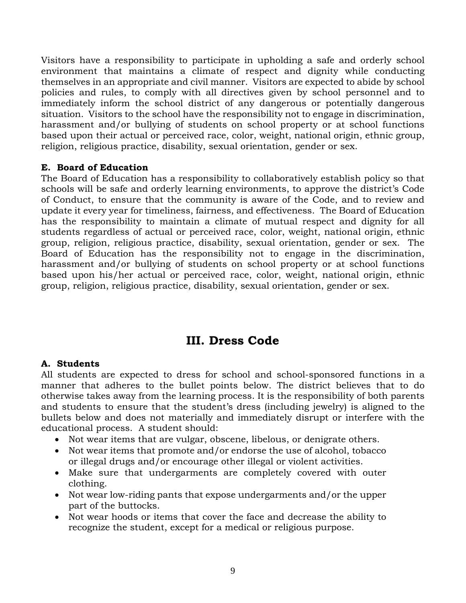Visitors have a responsibility to participate in upholding a safe and orderly school environment that maintains a climate of respect and dignity while conducting themselves in an appropriate and civil manner. Visitors are expected to abide by school policies and rules, to comply with all directives given by school personnel and to immediately inform the school district of any dangerous or potentially dangerous situation. Visitors to the school have the responsibility not to engage in discrimination, harassment and/or bullying of students on school property or at school functions based upon their actual or perceived race, color, weight, national origin, ethnic group, religion, religious practice, disability, sexual orientation, gender or sex.

### **E. Board of Education**

The Board of Education has a responsibility to collaboratively establish policy so that schools will be safe and orderly learning environments, to approve the district's Code of Conduct, to ensure that the community is aware of the Code, and to review and update it every year for timeliness, fairness, and effectiveness. The Board of Education has the responsibility to maintain a climate of mutual respect and dignity for all students regardless of actual or perceived race, color, weight, national origin, ethnic group, religion, religious practice, disability, sexual orientation, gender or sex. The Board of Education has the responsibility not to engage in the discrimination, harassment and/or bullying of students on school property or at school functions based upon his/her actual or perceived race, color, weight, national origin, ethnic group, religion, religious practice, disability, sexual orientation, gender or sex.

# **III. Dress Code**

# **A. Students**

All students are expected to dress for school and school-sponsored functions in a manner that adheres to the bullet points below. The district believes that to do otherwise takes away from the learning process. It is the responsibility of both parents and students to ensure that the student's dress (including jewelry) is aligned to the bullets below and does not materially and immediately disrupt or interfere with the educational process. A student should:

- Not wear items that are vulgar, obscene, libelous, or denigrate others.
- Not wear items that promote and/or endorse the use of alcohol, tobacco or illegal drugs and/or encourage other illegal or violent activities.
- Make sure that undergarments are completely covered with outer clothing.
- Not wear low-riding pants that expose undergarments and/or the upper part of the buttocks.
- Not wear hoods or items that cover the face and decrease the ability to recognize the student, except for a medical or religious purpose.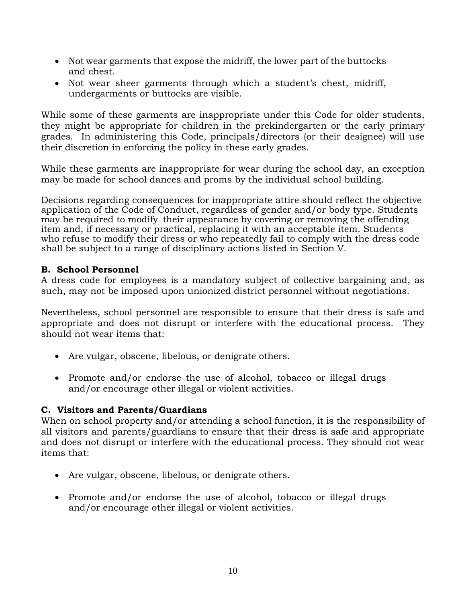- Not wear garments that expose the midriff, the lower part of the buttocks and chest.
- Not wear sheer garments through which a student's chest, midriff, undergarments or buttocks are visible.

While some of these garments are inappropriate under this Code for older students, they might be appropriate for children in the prekindergarten or the early primary grades. In administering this Code, principals/directors (or their designee) will use their discretion in enforcing the policy in these early grades.

While these garments are inappropriate for wear during the school day, an exception may be made for school dances and proms by the individual school building.

Decisions regarding consequences for inappropriate attire should reflect the objective application of the Code of Conduct, regardless of gender and/or body type. Students may be required to modify their appearance by covering or removing the offending item and, if necessary or practical, replacing it with an acceptable item. Students who refuse to modify their dress or who repeatedly fail to comply with the dress code shall be subject to a range of disciplinary actions listed in Section V.

### **B. School Personnel**

A dress code for employees is a mandatory subject of collective bargaining and, as such, may not be imposed upon unionized district personnel without negotiations.

Nevertheless, school personnel are responsible to ensure that their dress is safe and appropriate and does not disrupt or interfere with the educational process. They should not wear items that:

- Are vulgar, obscene, libelous, or denigrate others.
- Promote and/or endorse the use of alcohol, tobacco or illegal drugs and/or encourage other illegal or violent activities.

# **C. Visitors and Parents/Guardians**

When on school property and/or attending a school function*,* it is the responsibility of all visitors and parents/guardians to ensure that their dress is safe and appropriate and does not disrupt or interfere with the educational process. They should not wear items that:

- Are vulgar, obscene, libelous, or denigrate others.
- Promote and/or endorse the use of alcohol, tobacco or illegal drugs and/or encourage other illegal or violent activities.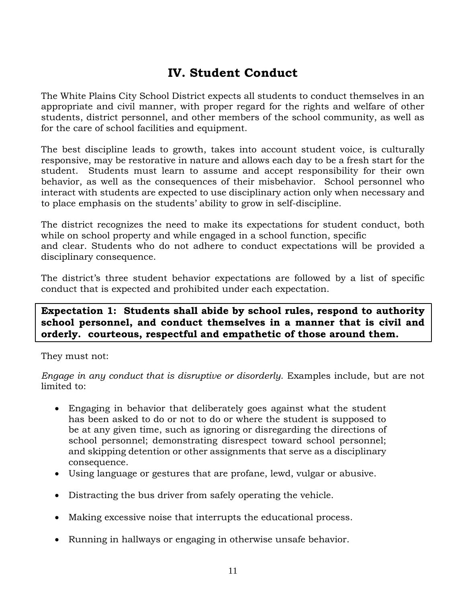# **IV. Student Conduct**

The White Plains City School District expects all students to conduct themselves in an appropriate and civil manner, with proper regard for the rights and welfare of other students, district personnel, and other members of the school community, as well as for the care of school facilities and equipment.

The best discipline leads to growth, takes into account student voice, is culturally responsive, may be restorative in nature and allows each day to be a fresh start for the student. Students must learn to assume and accept responsibility for their own behavior, as well as the consequences of their misbehavior. School personnel who interact with students are expected to use disciplinary action only when necessary and to place emphasis on the students' ability to grow in self-discipline.

The district recognizes the need to make its expectations for student conduct, both while on school property and while engaged in a school function, specific and clear. Students who do not adhere to conduct expectations will be provided a disciplinary consequence.

The district's three student behavior expectations are followed by a list of specific conduct that is expected and prohibited under each expectation.

# **Expectation 1: Students shall abide by school rules, respond to authority school personnel, and conduct themselves in a manner that is civil and orderly. courteous, respectful and empathetic of those around them.**

They must not:

*Engage in any conduct that is disruptive or disorderly.* Examples include, but are not limited to:

- Engaging in behavior that deliberately goes against what the student has been asked to do or not to do or where the student is supposed to be at any given time, such as ignoring or disregarding the directions of school personnel; demonstrating disrespect toward school personnel; and skipping detention or other assignments that serve as a disciplinary consequence.
- Using language or gestures that are profane, lewd, vulgar or abusive.
- Distracting the bus driver from safely operating the vehicle.
- Making excessive noise that interrupts the educational process.
- Running in hallways or engaging in otherwise unsafe behavior.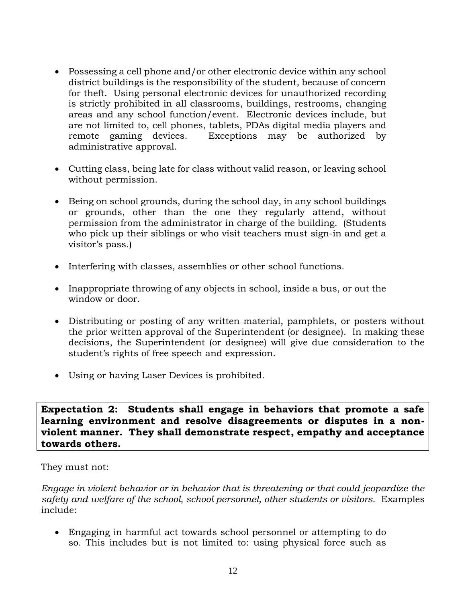- Possessing a cell phone and/or other electronic device within any school district buildings is the responsibility of the student, because of concern for theft. Using personal electronic devices for unauthorized recording is strictly prohibited in all classrooms, buildings, restrooms, changing areas and any school function/event. Electronic devices include, but are not limited to, cell phones, tablets, PDAs digital media players and remote gaming devices. Exceptions may be authorized by administrative approval.
- Cutting class, being late for class without valid reason, or leaving school without permission.
- Being on school grounds, during the school day, in any school buildings or grounds, other than the one they regularly attend, without permission from the administrator in charge of the building. (Students who pick up their siblings or who visit teachers must sign-in and get a visitor's pass.)
- Interfering with classes, assemblies or other school functions.
- Inappropriate throwing of any objects in school, inside a bus, or out the window or door.
- Distributing or posting of any written material, pamphlets, or posters without the prior written approval of the Superintendent (or designee). In making these decisions, the Superintendent (or designee) will give due consideration to the student's rights of free speech and expression.
- Using or having Laser Devices is prohibited.

**Expectation 2: Students shall engage in behaviors that promote a safe learning environment and resolve disagreements or disputes in a nonviolent manner. They shall demonstrate respect, empathy and acceptance towards others.**

They must not:

*Engage in violent behavior or in behavior that is threatening or that could jeopardize the safety and welfare of the school, school personnel, other students or visitors.* Examples include:

• Engaging in harmful act towards school personnel or attempting to do so. This includes but is not limited to: using physical force such as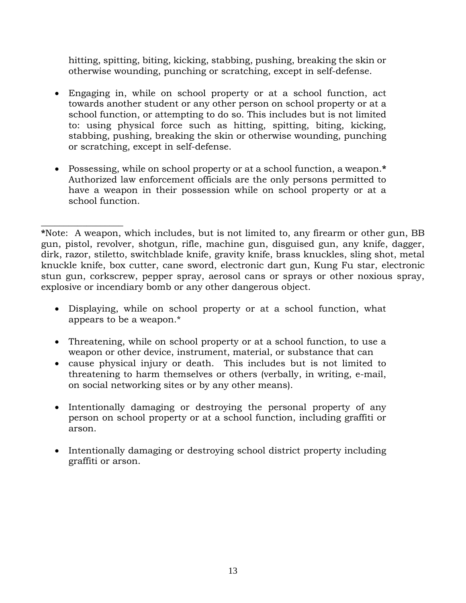hitting, spitting, biting, kicking, stabbing, pushing, breaking the skin or otherwise wounding, punching or scratching, except in self-defense.

- Engaging in, while on school property or at a school function, act towards another student or any other person on school property or at a school function, or attempting to do so. This includes but is not limited to: using physical force such as hitting, spitting, biting, kicking, stabbing, pushing, breaking the skin or otherwise wounding, punching or scratching, except in self-defense.
- Possessing, while on school property or at a school function, a weapon.**\*** Authorized law enforcement officials are the only persons permitted to have a weapon in their possession while on school property or at a school function.

 $\_$ 

**\***Note: A weapon, which includes, but is not limited to, any firearm or other gun, BB gun, pistol, revolver, shotgun, rifle, machine gun, disguised gun, any knife, dagger, dirk, razor, stiletto, switchblade knife, gravity knife, brass knuckles, sling shot, metal knuckle knife, box cutter, cane sword, electronic dart gun, Kung Fu star, electronic stun gun, corkscrew, pepper spray, aerosol cans or sprays or other noxious spray, explosive or incendiary bomb or any other dangerous object.

- Displaying, while on school property or at a school function, what appears to be a weapon.\*
- Threatening, while on school property or at a school function, to use a weapon or other device, instrument, material, or substance that can
- cause physical injury or death. This includes but is not limited to threatening to harm themselves or others (verbally, in writing, e-mail, on social networking sites or by any other means).
- Intentionally damaging or destroying the personal property of any person on school property or at a school function, including graffiti or arson.
- Intentionally damaging or destroying school district property including graffiti or arson.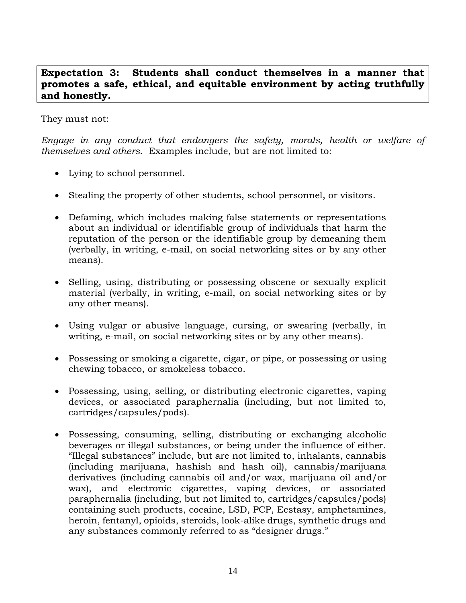# **Expectation 3: Students shall conduct themselves in a manner that promotes a safe, ethical, and equitable environment by acting truthfully and honestly.**

They must not:

*Engage in any conduct that endangers the safety, morals, health or welfare of themselves and others.*Examples include, but are not limited to:

- Lying to school personnel.
- Stealing the property of other students, school personnel, or visitors.
- Defaming, which includes making false statements or representations about an individual or identifiable group of individuals that harm the reputation of the person or the identifiable group by demeaning them (verbally, in writing, e-mail, on social networking sites or by any other means).
- Selling, using, distributing or possessing obscene or sexually explicit material (verbally, in writing, e-mail, on social networking sites or by any other means).
- Using vulgar or abusive language, cursing, or swearing (verbally, in writing, e-mail, on social networking sites or by any other means).
- Possessing or smoking a cigarette, cigar, or pipe, or possessing or using chewing tobacco, or smokeless tobacco.
- Possessing, using, selling, or distributing electronic cigarettes, vaping devices, or associated paraphernalia (including, but not limited to, cartridges/capsules/pods).
- Possessing, consuming, selling, distributing or exchanging alcoholic beverages or illegal substances, or being under the influence of either. "Illegal substances" include, but are not limited to, inhalants, cannabis (including marijuana, hashish and hash oil), cannabis/marijuana derivatives (including cannabis oil and/or wax, marijuana oil and/or wax), and electronic cigarettes, vaping devices, or associated paraphernalia (including, but not limited to, cartridges/capsules/pods) containing such products, cocaine, LSD, PCP, Ecstasy, amphetamines, heroin, fentanyl, opioids, steroids, look-alike drugs, synthetic drugs and any substances commonly referred to as "designer drugs."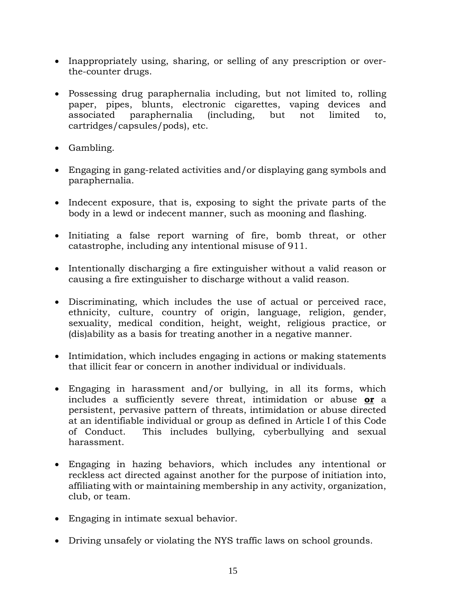- Inappropriately using, sharing, or selling of any prescription or overthe-counter drugs.
- Possessing drug paraphernalia including, but not limited to, rolling paper, pipes, blunts, electronic cigarettes, vaping devices and associated paraphernalia (including, but not limited to, cartridges/capsules/pods), etc.
- Gambling.
- Engaging in gang-related activities and/or displaying gang symbols and paraphernalia.
- Indecent exposure, that is, exposing to sight the private parts of the body in a lewd or indecent manner, such as mooning and flashing.
- Initiating a false report warning of fire, bomb threat, or other catastrophe, including any intentional misuse of 911.
- Intentionally discharging a fire extinguisher without a valid reason or causing a fire extinguisher to discharge without a valid reason.
- Discriminating, which includes the use of actual or perceived race, ethnicity, culture, country of origin, language, religion, gender, sexuality, medical condition, height, weight, religious practice, or (dis)ability as a basis for treating another in a negative manner.
- Intimidation, which includes engaging in actions or making statements that illicit fear or concern in another individual or individuals.
- Engaging in harassment and/or bullying, in all its forms, which includes a sufficiently severe threat, intimidation or abuse **or** a persistent, pervasive pattern of threats, intimidation or abuse directed at an identifiable individual or group as defined in Article I of this Code of Conduct. This includes bullying, cyberbullying and sexual harassment.
- Engaging in hazing behaviors, which includes any intentional or reckless act directed against another for the purpose of initiation into, affiliating with or maintaining membership in any activity, organization, club, or team.
- Engaging in intimate sexual behavior.
- Driving unsafely or violating the NYS traffic laws on school grounds.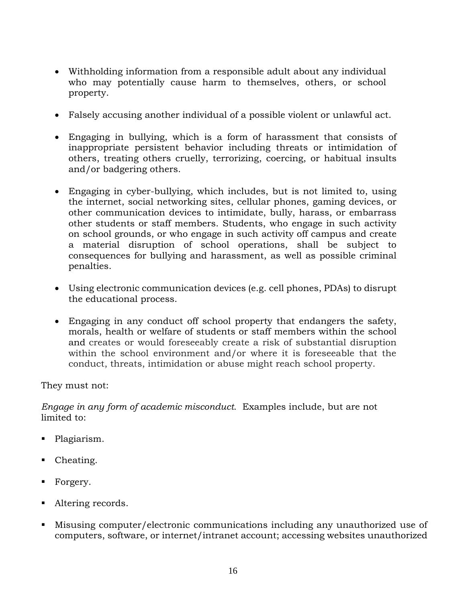- Withholding information from a responsible adult about any individual who may potentially cause harm to themselves, others, or school property.
- Falsely accusing another individual of a possible violent or unlawful act.
- Engaging in bullying, which is a form of harassment that consists of inappropriate persistent behavior including threats or intimidation of others, treating others cruelly, terrorizing, coercing, or habitual insults and/or badgering others.
- Engaging in cyber-bullying, which includes, but is not limited to, using the internet, social networking sites, cellular phones, gaming devices, or other communication devices to intimidate, bully, harass, or embarrass other students or staff members. Students, who engage in such activity on school grounds, or who engage in such activity off campus and create a material disruption of school operations, shall be subject to consequences for bullying and harassment, as well as possible criminal penalties.
- Using electronic communication devices (e.g. cell phones, PDAs) to disrupt the educational process.
- Engaging in any conduct off school property that endangers the safety, morals, health or welfare of students or staff members within the school and creates or would foreseeably create a risk of substantial disruption within the school environment and/or where it is foreseeable that the conduct, threats, intimidation or abuse might reach school property.

They must not:

*Engage in any form of academic misconduct.* Examples include, but are not limited to:

- Plagiarism.
- Cheating.
- Forgery.
- Altering records.
- Misusing computer/electronic communications including any unauthorized use of computers, software, or internet/intranet account; accessing websites unauthorized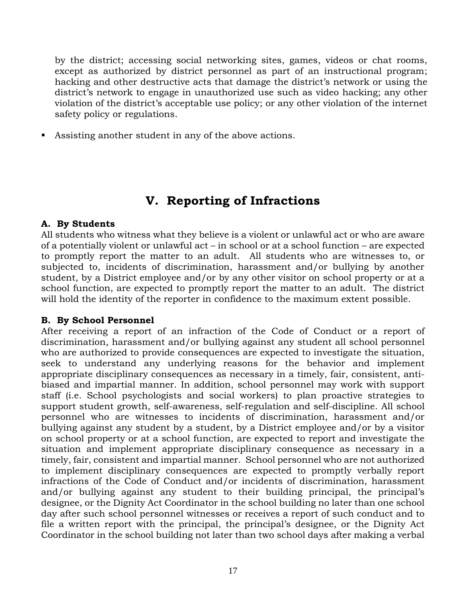by the district; accessing social networking sites, games, videos or chat rooms, except as authorized by district personnel as part of an instructional program; hacking and other destructive acts that damage the district's network or using the district's network to engage in unauthorized use such as video hacking; any other violation of the district's acceptable use policy; or any other violation of the internet safety policy or regulations.

Assisting another student in any of the above actions.

# **V. Reporting of Infractions**

### **A. By Students**

All students who witness what they believe is a violent or unlawful act or who are aware of a potentially violent or unlawful act – in school or at a school function – are expected to promptly report the matter to an adult. All students who are witnesses to, or subjected to, incidents of discrimination, harassment and/or bullying by another student, by a District employee and/or by any other visitor on school property or at a school function, are expected to promptly report the matter to an adult. The district will hold the identity of the reporter in confidence to the maximum extent possible.

#### **B. By School Personnel**

After receiving a report of an infraction of the Code of Conduct or a report of discrimination, harassment and/or bullying against any student all school personnel who are authorized to provide consequences are expected to investigate the situation, seek to understand any underlying reasons for the behavior and implement appropriate disciplinary consequences as necessary in a timely, fair, consistent, antibiased and impartial manner. In addition, school personnel may work with support staff (i.e. School psychologists and social workers) to plan proactive strategies to support student growth, self-awareness, self-regulation and self-discipline. All school personnel who are witnesses to incidents of discrimination, harassment and/or bullying against any student by a student, by a District employee and/or by a visitor on school property or at a school function, are expected to report and investigate the situation and implement appropriate disciplinary consequence as necessary in a timely, fair, consistent and impartial manner. School personnel who are not authorized to implement disciplinary consequences are expected to promptly verbally report infractions of the Code of Conduct and/or incidents of discrimination, harassment and/or bullying against any student to their building principal, the principal's designee, or the Dignity Act Coordinator in the school building no later than one school day after such school personnel witnesses or receives a report of such conduct and to file a written report with the principal, the principal's designee, or the Dignity Act Coordinator in the school building not later than two school days after making a verbal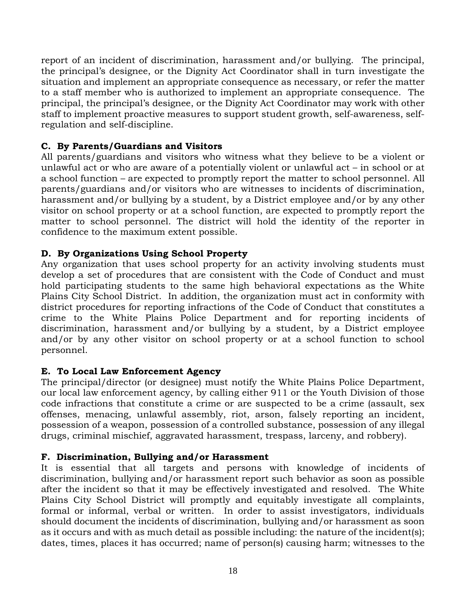report of an incident of discrimination, harassment and/or bullying. The principal, the principal's designee, or the Dignity Act Coordinator shall in turn investigate the situation and implement an appropriate consequence as necessary, or refer the matter to a staff member who is authorized to implement an appropriate consequence. The principal, the principal's designee, or the Dignity Act Coordinator may work with other staff to implement proactive measures to support student growth, self-awareness, selfregulation and self-discipline.

# **C. By Parents/Guardians and Visitors**

All parents/guardians and visitors who witness what they believe to be a violent or unlawful act or who are aware of a potentially violent or unlawful act – in school or at a school function – are expected to promptly report the matter to school personnel. All parents/guardians and/or visitors who are witnesses to incidents of discrimination, harassment and/or bullying by a student, by a District employee and/or by any other visitor on school property or at a school function, are expected to promptly report the matter to school personnel. The district will hold the identity of the reporter in confidence to the maximum extent possible.

# **D. By Organizations Using School Property**

Any organization that uses school property for an activity involving students must develop a set of procedures that are consistent with the Code of Conduct and must hold participating students to the same high behavioral expectations as the White Plains City School District. In addition, the organization must act in conformity with district procedures for reporting infractions of the Code of Conduct that constitutes a crime to the White Plains Police Department and for reporting incidents of discrimination, harassment and/or bullying by a student, by a District employee and/or by any other visitor on school property or at a school function to school personnel.

# **E. To Local Law Enforcement Agency**

The principal/director (or designee) must notify the White Plains Police Department, our local law enforcement agency, by calling either 911 or the Youth Division of those code infractions that constitute a crime or are suspected to be a crime (assault, sex offenses, menacing, unlawful assembly, riot, arson, falsely reporting an incident, possession of a weapon, possession of a controlled substance, possession of any illegal drugs, criminal mischief, aggravated harassment, trespass, larceny, and robbery).

# **F. Discrimination, Bullying and/or Harassment**

It is essential that all targets and persons with knowledge of incidents of discrimination, bullying and/or harassment report such behavior as soon as possible after the incident so that it may be effectively investigated and resolved. The White Plains City School District will promptly and equitably investigate all complaints, formal or informal, verbal or written. In order to assist investigators, individuals should document the incidents of discrimination, bullying and/or harassment as soon as it occurs and with as much detail as possible including: the nature of the incident(s); dates, times, places it has occurred; name of person(s) causing harm; witnesses to the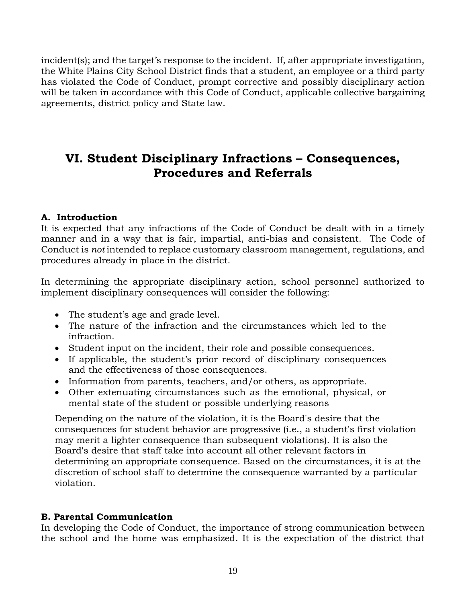incident(s); and the target's response to the incident. If, after appropriate investigation, the White Plains City School District finds that a student, an employee or a third party has violated the Code of Conduct, prompt corrective and possibly disciplinary action will be taken in accordance with this Code of Conduct, applicable collective bargaining agreements, district policy and State law.

# **VI. Student Disciplinary Infractions – Consequences, Procedures and Referrals**

# **A. Introduction**

It is expected that any infractions of the Code of Conduct be dealt with in a timely manner and in a way that is fair, impartial, anti-bias and consistent. The Code of Conduct is *not* intended to replace customary classroom management, regulations, and procedures already in place in the district.

In determining the appropriate disciplinary action, school personnel authorized to implement disciplinary consequences will consider the following:

- The student's age and grade level.
- The nature of the infraction and the circumstances which led to the infraction.
- Student input on the incident, their role and possible consequences.
- If applicable, the student's prior record of disciplinary consequences and the effectiveness of those consequences.
- Information from parents, teachers, and/or others, as appropriate.
- Other extenuating circumstances such as the emotional, physical, or mental state of the student or possible underlying reasons

Depending on the nature of the violation, it is the Board's desire that the consequences for student behavior are progressive (i.e., a student's first violation may merit a lighter consequence than subsequent violations). It is also the Board's desire that staff take into account all other relevant factors in determining an appropriate consequence. Based on the circumstances, it is at the discretion of school staff to determine the consequence warranted by a particular violation.

#### **B. Parental Communication**

In developing the Code of Conduct, the importance of strong communication between the school and the home was emphasized. It is the expectation of the district that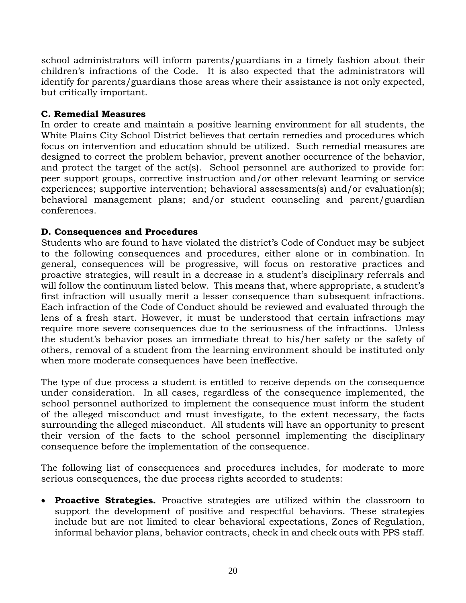school administrators will inform parents/guardians in a timely fashion about their children's infractions of the Code. It is also expected that the administrators will identify for parents/guardians those areas where their assistance is not only expected, but critically important.

### **C. Remedial Measures**

In order to create and maintain a positive learning environment for all students, the White Plains City School District believes that certain remedies and procedures which focus on intervention and education should be utilized. Such remedial measures are designed to correct the problem behavior, prevent another occurrence of the behavior, and protect the target of the act(s). School personnel are authorized to provide for: peer support groups, corrective instruction and/or other relevant learning or service experiences; supportive intervention; behavioral assessments(s) and/or evaluation(s); behavioral management plans; and/or student counseling and parent/guardian conferences.

# **D. Consequences and Procedures**

Students who are found to have violated the district's Code of Conduct may be subject to the following consequences and procedures, either alone or in combination. In general, consequences will be progressive, will focus on restorative practices and proactive strategies, will result in a decrease in a student's disciplinary referrals and will follow the continuum listed below. This means that, where appropriate, a student's first infraction will usually merit a lesser consequence than subsequent infractions. Each infraction of the Code of Conduct should be reviewed and evaluated through the lens of a fresh start. However, it must be understood that certain infractions may require more severe consequences due to the seriousness of the infractions. Unless the student's behavior poses an immediate threat to his/her safety or the safety of others, removal of a student from the learning environment should be instituted only when more moderate consequences have been ineffective.

The type of due process a student is entitled to receive depends on the consequence under consideration. In all cases, regardless of the consequence implemented, the school personnel authorized to implement the consequence must inform the student of the alleged misconduct and must investigate, to the extent necessary, the facts surrounding the alleged misconduct. All students will have an opportunity to present their version of the facts to the school personnel implementing the disciplinary consequence before the implementation of the consequence.

The following list of consequences and procedures includes, for moderate to more serious consequences, the due process rights accorded to students:

• **Proactive Strategies.** Proactive strategies are utilized within the classroom to support the development of positive and respectful behaviors. These strategies include but are not limited to clear behavioral expectations, Zones of Regulation, informal behavior plans, behavior contracts, check in and check outs with PPS staff.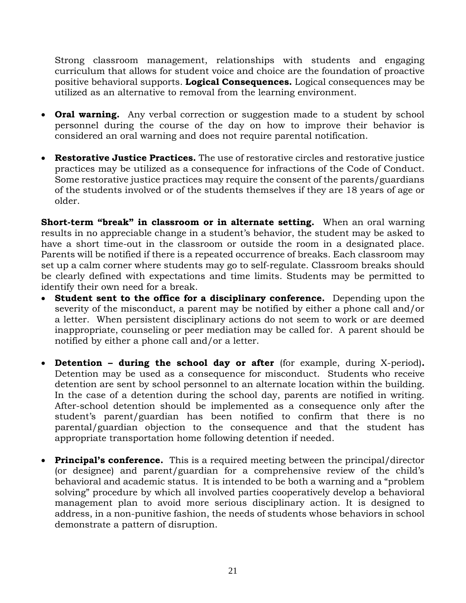Strong classroom management, relationships with students and engaging curriculum that allows for student voice and choice are the foundation of proactive positive behavioral supports. **Logical Consequences.** Logical consequences may be utilized as an alternative to removal from the learning environment.

- **Oral warning.** Any verbal correction or suggestion made to a student by school personnel during the course of the day on how to improve their behavior is considered an oral warning and does not require parental notification.
- **Restorative Justice Practices.** The use of restorative circles and restorative justice practices may be utilized as a consequence for infractions of the Code of Conduct. Some restorative justice practices may require the consent of the parents/guardians of the students involved or of the students themselves if they are 18 years of age or older.

**Short-term "break" in classroom or in alternate setting.** When an oral warning results in no appreciable change in a student's behavior, the student may be asked to have a short time-out in the classroom or outside the room in a designated place. Parents will be notified if there is a repeated occurrence of breaks. Each classroom may set up a calm corner where students may go to self-regulate. Classroom breaks should be clearly defined with expectations and time limits. Students may be permitted to identify their own need for a break.

- **Student sent to the office for a disciplinary conference.** Depending upon the severity of the misconduct, a parent may be notified by either a phone call and/or a letter. When persistent disciplinary actions do not seem to work or are deemed inappropriate, counseling or peer mediation may be called for. A parent should be notified by either a phone call and/or a letter.
- **Detention – during the school day or after** (for example, during X-period)**.** Detention may be used as a consequence for misconduct. Students who receive detention are sent by school personnel to an alternate location within the building. In the case of a detention during the school day, parents are notified in writing. After-school detention should be implemented as a consequence only after the student's parent/guardian has been notified to confirm that there is no parental/guardian objection to the consequence and that the student has appropriate transportation home following detention if needed.
- **Principal's conference.** This is a required meeting between the principal/director (or designee) and parent/guardian for a comprehensive review of the child's behavioral and academic status. It is intended to be both a warning and a "problem solving" procedure by which all involved parties cooperatively develop a behavioral management plan to avoid more serious disciplinary action. It is designed to address, in a non-punitive fashion, the needs of students whose behaviors in school demonstrate a pattern of disruption.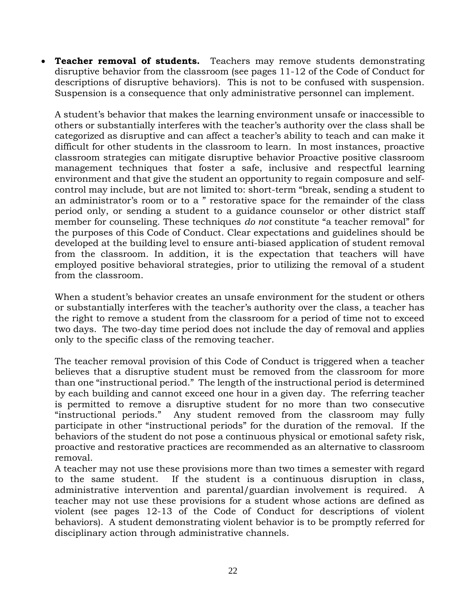**Teacher removal of students.** Teachers may remove students demonstrating disruptive behavior from the classroom (see pages 11-12 of the Code of Conduct for descriptions of disruptive behaviors). This is not to be confused with suspension. Suspension is a consequence that only administrative personnel can implement.

A student's behavior that makes the learning environment unsafe or inaccessible to others or substantially interferes with the teacher's authority over the class shall be categorized as disruptive and can affect a teacher's ability to teach and can make it difficult for other students in the classroom to learn. In most instances, proactive classroom strategies can mitigate disruptive behavior Proactive positive classroom management techniques that foster a safe, inclusive and respectful learning environment and that give the student an opportunity to regain composure and selfcontrol may include, but are not limited to: short-term "break, sending a student to an administrator's room or to a " restorative space for the remainder of the class period only, or sending a student to a guidance counselor or other district staff member for counseling. These techniques *do not* constitute "a teacher removal" for the purposes of this Code of Conduct. Clear expectations and guidelines should be developed at the building level to ensure anti-biased application of student removal from the classroom. In addition, it is the expectation that teachers will have employed positive behavioral strategies, prior to utilizing the removal of a student from the classroom.

When a student's behavior creates an unsafe environment for the student or others or substantially interferes with the teacher's authority over the class, a teacher has the right to remove a student from the classroom for a period of time not to exceed two days. The two-day time period does not include the day of removal and applies only to the specific class of the removing teacher.

The teacher removal provision of this Code of Conduct is triggered when a teacher believes that a disruptive student must be removed from the classroom for more than one "instructional period." The length of the instructional period is determined by each building and cannot exceed one hour in a given day. The referring teacher is permitted to remove a disruptive student for no more than two consecutive "instructional periods." Any student removed from the classroom may fully participate in other "instructional periods" for the duration of the removal. If the behaviors of the student do not pose a continuous physical or emotional safety risk, proactive and restorative practices are recommended as an alternative to classroom removal.

A teacher may not use these provisions more than two times a semester with regard to the same student. If the student is a continuous disruption in class, administrative intervention and parental/guardian involvement is required. A teacher may not use these provisions for a student whose actions are defined as violent (see pages 12-13 of the Code of Conduct for descriptions of violent behaviors). A student demonstrating violent behavior is to be promptly referred for disciplinary action through administrative channels.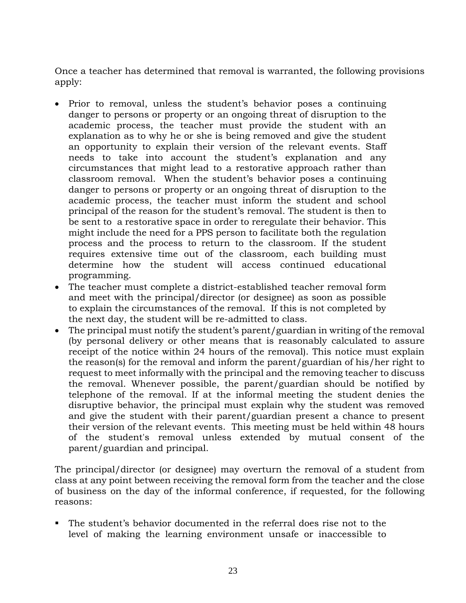Once a teacher has determined that removal is warranted, the following provisions apply:

- Prior to removal, unless the student's behavior poses a continuing danger to persons or property or an ongoing threat of disruption to the academic process, the teacher must provide the student with an explanation as to why he or she is being removed and give the student an opportunity to explain their version of the relevant events. Staff needs to take into account the student's explanation and any circumstances that might lead to a restorative approach rather than classroom removal. When the student's behavior poses a continuing danger to persons or property or an ongoing threat of disruption to the academic process, the teacher must inform the student and school principal of the reason for the student's removal. The student is then to be sent to a restorative space in order to reregulate their behavior. This might include the need for a PPS person to facilitate both the regulation process and the process to return to the classroom. If the student requires extensive time out of the classroom, each building must determine how the student will access continued educational programming.
- The teacher must complete a district-established teacher removal form and meet with the principal/director (or designee) as soon as possible to explain the circumstances of the removal. If this is not completed by the next day, the student will be re-admitted to class.
- The principal must notify the student's parent/guardian in writing of the removal (by personal delivery or other means that is reasonably calculated to assure receipt of the notice within 24 hours of the removal). This notice must explain the reason(s) for the removal and inform the parent/guardian of his/her right to request to meet informally with the principal and the removing teacher to discuss the removal. Whenever possible, the parent/guardian should be notified by telephone of the removal. If at the informal meeting the student denies the disruptive behavior, the principal must explain why the student was removed and give the student with their parent/guardian present a chance to present their version of the relevant events. This meeting must be held within 48 hours of the student's removal unless extended by mutual consent of the parent/guardian and principal.

The principal/director (or designee) may overturn the removal of a student from class at any point between receiving the removal form from the teacher and the close of business on the day of the informal conference, if requested, for the following reasons:

The student's behavior documented in the referral does rise not to the level of making the learning environment unsafe or inaccessible to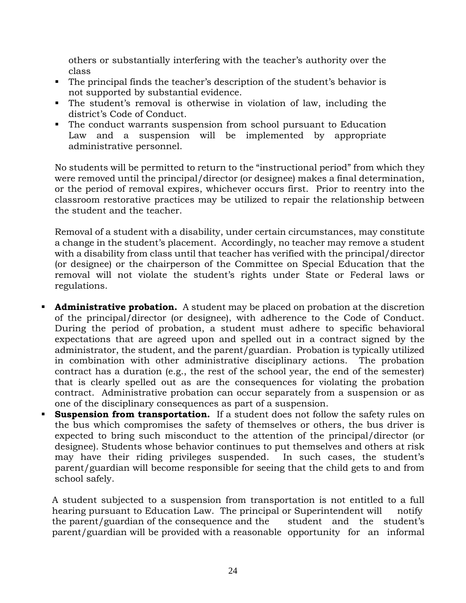others or substantially interfering with the teacher's authority over the class

- The principal finds the teacher's description of the student's behavior is not supported by substantial evidence.
- The student's removal is otherwise in violation of law, including the district's Code of Conduct.
- The conduct warrants suspension from school pursuant to Education Law and a suspension will be implemented by appropriate administrative personnel.

No students will be permitted to return to the "instructional period" from which they were removed until the principal/director (or designee) makes a final determination, or the period of removal expires, whichever occurs first. Prior to reentry into the classroom restorative practices may be utilized to repair the relationship between the student and the teacher.

Removal of a student with a disability, under certain circumstances, may constitute a change in the student's placement. Accordingly, no teacher may remove a student with a disability from class until that teacher has verified with the principal/director (or designee) or the chairperson of the Committee on Special Education that the removal will not violate the student's rights under State or Federal laws or regulations.

- **Administrative probation.** A student may be placed on probation at the discretion of the principal/director (or designee), with adherence to the Code of Conduct. During the period of probation, a student must adhere to specific behavioral expectations that are agreed upon and spelled out in a contract signed by the administrator, the student, and the parent/guardian. Probation is typically utilized in combination with other administrative disciplinary actions. The probation contract has a duration (e.g., the rest of the school year, the end of the semester) that is clearly spelled out as are the consequences for violating the probation contract. Administrative probation can occur separately from a suspension or as one of the disciplinary consequences as part of a suspension.
- **Suspension from transportation.** If a student does not follow the safety rules on the bus which compromises the safety of themselves or others, the bus driver is expected to bring such misconduct to the attention of the principal/director (or designee). Students whose behavior continues to put themselves and others at risk may have their riding privileges suspended. In such cases, the student's parent/guardian will become responsible for seeing that the child gets to and from school safely.

A student subjected to a suspension from transportation is not entitled to a full hearing pursuant to Education Law. The principal or Superintendent will notify the parent/guardian of the consequence and the student and the student's parent/guardian will be provided with a reasonable opportunity for an informal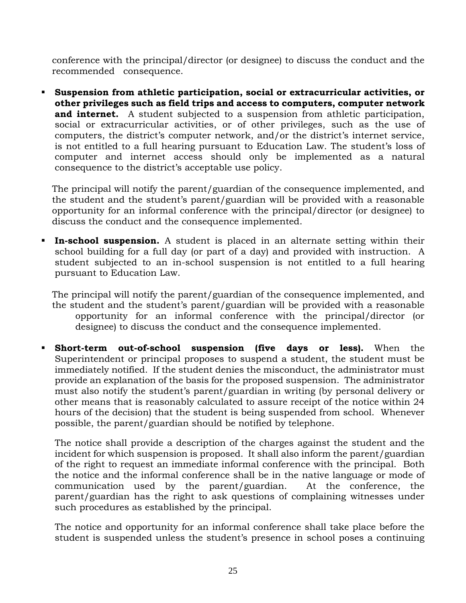conference with the principal/director (or designee) to discuss the conduct and the recommended consequence.

▪ **Suspension from athletic participation, social or extracurricular activities, or other privileges such as field trips and access to computers, computer network and internet.** A student subjected to a suspension from athletic participation, social or extracurricular activities, or of other privileges, such as the use of computers, the district's computer network, and/or the district's internet service, is not entitled to a full hearing pursuant to Education Law. The student's loss of computer and internet access should only be implemented as a natural consequence to the district's acceptable use policy.

The principal will notify the parent/guardian of the consequence implemented, and the student and the student's parent/guardian will be provided with a reasonable opportunity for an informal conference with the principal/director (or designee) to discuss the conduct and the consequence implemented.

**In-school suspension.** A student is placed in an alternate setting within their school building for a full day (or part of a day) and provided with instruction.A student subjected to an in-school suspension is not entitled to a full hearing pursuant to Education Law.

The principal will notify the parent/guardian of the consequence implemented, and the student and the student's parent/guardian will be provided with a reasonable opportunity for an informal conference with the principal/director (or designee) to discuss the conduct and the consequence implemented.

▪ **Short-term out-of-school suspension (five days or less).** When the Superintendent or principal proposes to suspend a student, the student must be immediately notified. If the student denies the misconduct, the administrator must provide an explanation of the basis for the proposed suspension. The administrator must also notify the student's parent/guardian in writing (by personal delivery or other means that is reasonably calculated to assure receipt of the notice within 24 hours of the decision) that the student is being suspended from school. Whenever possible, the parent/guardian should be notified by telephone.

The notice shall provide a description of the charges against the student and the incident for which suspension is proposed. It shall also inform the parent/guardian of the right to request an immediate informal conference with the principal. Both the notice and the informal conference shall be in the native language or mode of communication used by the parent/guardian. At the conference, the parent/guardian has the right to ask questions of complaining witnesses under such procedures as established by the principal.

The notice and opportunity for an informal conference shall take place before the student is suspended unless the student's presence in school poses a continuing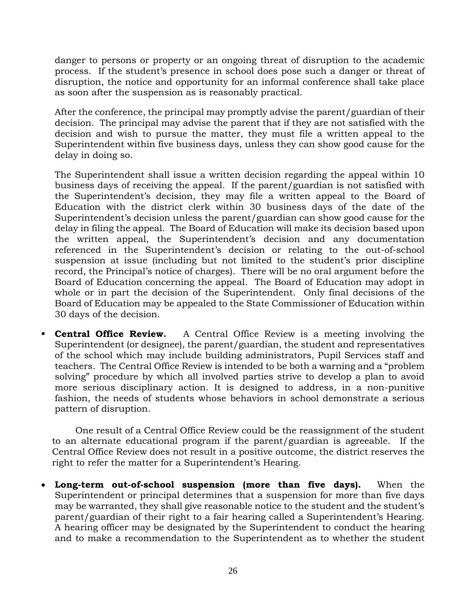danger to persons or property or an ongoing threat of disruption to the academic process. If the student's presence in school does pose such a danger or threat of disruption, the notice and opportunity for an informal conference shall take place as soon after the suspension as is reasonably practical.

After the conference, the principal may promptly advise the parent/guardian of their decision. The principal may advise the parent that if they are not satisfied with the decision and wish to pursue the matter, they must file a written appeal to the Superintendent within five business days, unless they can show good cause for the delay in doing so.

The Superintendent shall issue a written decision regarding the appeal within 10 business days of receiving the appeal. If the parent/guardian is not satisfied with the Superintendent's decision, they may file a written appeal to the Board of Education with the district clerk within 30 business days of the date of the Superintendent's decision unless the parent/guardian can show good cause for the delay in filing the appeal. The Board of Education will make its decision based upon the written appeal, the Superintendent's decision and any documentation referenced in the Superintendent's decision or relating to the out-of-school suspension at issue (including but not limited to the student's prior discipline record, the Principal's notice of charges). There will be no oral argument before the Board of Education concerning the appeal. The Board of Education may adopt in whole or in part the decision of the Superintendent.Only final decisions of the Board of Education may be appealed to the State Commissioner of Education within 30 days of the decision.

**• Central Office Review.** A Central Office Review is a meeting involving the Superintendent (or designee), the parent/guardian, the student and representatives of the school which may include building administrators, Pupil Services staff and teachers. The Central Office Review is intended to be both a warning and a "problem solving" procedure by which all involved parties strive to develop a plan to avoid more serious disciplinary action. It is designed to address, in a non-punitive fashion, the needs of students whose behaviors in school demonstrate a serious pattern of disruption.

One result of a Central Office Review could be the reassignment of the student to an alternate educational program if the parent/guardian is agreeable. If the Central Office Review does not result in a positive outcome, the district reserves the right to refer the matter for a Superintendent's Hearing.

• **Long-term out-of-school suspension (more than five days).** When the Superintendent or principal determines that a suspension for more than five days may be warranted, they shall give reasonable notice to the student and the student's parent/guardian of their right to a fair hearing called a Superintendent's Hearing. A hearing officer may be designated by the Superintendent to conduct the hearing and to make a recommendation to the Superintendent as to whether the student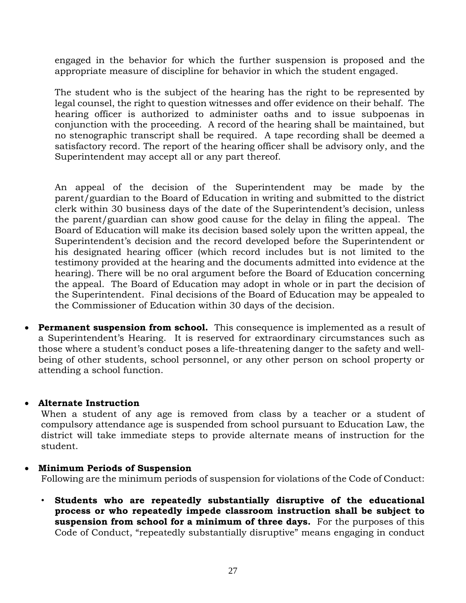engaged in the behavior for which the further suspension is proposed and the appropriate measure of discipline for behavior in which the student engaged.

The student who is the subject of the hearing has the right to be represented by legal counsel, the right to question witnesses and offer evidence on their behalf. The hearing officer is authorized to administer oaths and to issue subpoenas in conjunction with the proceeding. A record of the hearing shall be maintained, but no stenographic transcript shall be required. A tape recording shall be deemed a satisfactory record. The report of the hearing officer shall be advisory only, and the Superintendent may accept all or any part thereof.

An appeal of the decision of the Superintendent may be made by the parent/guardian to the Board of Education in writing and submitted to the district clerk within 30 business days of the date of the Superintendent's decision, unless the parent/guardian can show good cause for the delay in filing the appeal. The Board of Education will make its decision based solely upon the written appeal, the Superintendent's decision and the record developed before the Superintendent or his designated hearing officer (which record includes but is not limited to the testimony provided at the hearing and the documents admitted into evidence at the hearing). There will be no oral argument before the Board of Education concerning the appeal. The Board of Education may adopt in whole or in part the decision of the Superintendent. Final decisions of the Board of Education may be appealed to the Commissioner of Education within 30 days of the decision.

• **Permanent suspension from school.** This consequence is implemented as a result of a Superintendent's Hearing. It is reserved for extraordinary circumstances such as those where a student's conduct poses a life-threatening danger to the safety and wellbeing of other students, school personnel, or any other person on school property or attending a school function.

#### • **Alternate Instruction**

When a student of any age is removed from class by a teacher or a student of compulsory attendance age is suspended from school pursuant to Education Law, the district will take immediate steps to provide alternate means of instruction for the student.

#### • **Minimum Periods of Suspension**

Following are the minimum periods of suspension for violations of the Code of Conduct:

• **Students who are repeatedly substantially disruptive of the educational process or who repeatedly impede classroom instruction shall be subject to suspension from school for a minimum of three days.** For the purposes of this Code of Conduct, "repeatedly substantially disruptive" means engaging in conduct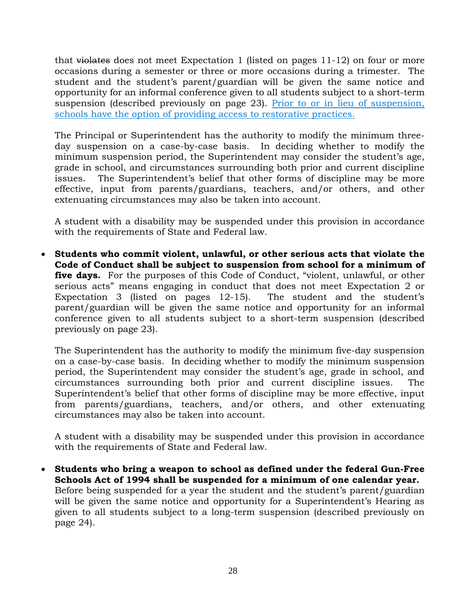that violates does not meet Expectation 1 (listed on pages 11-12) on four or more occasions during a semester or three or more occasions during a trimester. The student and the student's parent/guardian will be given the same notice and opportunity for an informal conference given to all students subject to a short-term suspension (described previously on page 23). Prior to or in lieu of suspension, schools have the option of providing access to restorative practices.

The Principal or Superintendent has the authority to modify the minimum threeday suspension on a case-by-case basis. In deciding whether to modify the minimum suspension period, the Superintendent may consider the student's age, grade in school, and circumstances surrounding both prior and current discipline issues. The Superintendent's belief that other forms of discipline may be more effective, input from parents/guardians, teachers, and/or others, and other extenuating circumstances may also be taken into account.

A student with a disability may be suspended under this provision in accordance with the requirements of State and Federal law.

• **Students who commit violent, unlawful, or other serious acts that violate the Code of Conduct shall be subject to suspension from school for a minimum of five days.** For the purposes of this Code of Conduct, "violent, unlawful, or other serious acts" means engaging in conduct that does not meet Expectation 2 or Expectation 3 (listed on pages 12-15). The student and the student's parent/guardian will be given the same notice and opportunity for an informal conference given to all students subject to a short-term suspension (described previously on page 23).

The Superintendent has the authority to modify the minimum five-day suspension on a case-by-case basis. In deciding whether to modify the minimum suspension period, the Superintendent may consider the student's age, grade in school, and circumstances surrounding both prior and current discipline issues. The Superintendent's belief that other forms of discipline may be more effective, input from parents/guardians, teachers, and/or others, and other extenuating circumstances may also be taken into account.

A student with a disability may be suspended under this provision in accordance with the requirements of State and Federal law.

• **Students who bring a weapon to school as defined under the federal Gun-Free Schools Act of 1994 shall be suspended for a minimum of one calendar year.**  Before being suspended for a year the student and the student's parent/guardian will be given the same notice and opportunity for a Superintendent's Hearing as given to all students subject to a long-term suspension (described previously on page 24).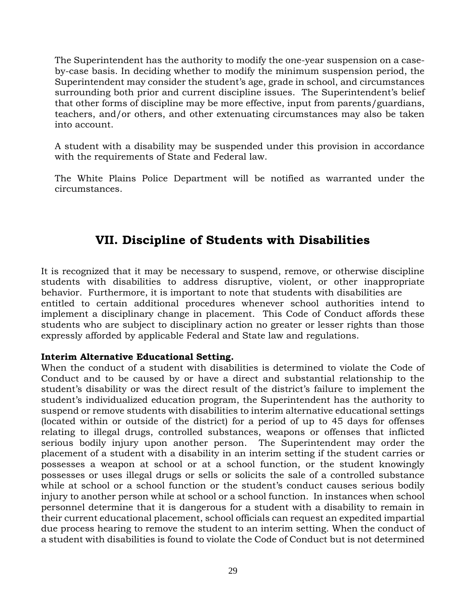The Superintendent has the authority to modify the one-year suspension on a caseby-case basis. In deciding whether to modify the minimum suspension period, the Superintendent may consider the student's age, grade in school, and circumstances surrounding both prior and current discipline issues. The Superintendent's belief that other forms of discipline may be more effective, input from parents/guardians, teachers, and/or others, and other extenuating circumstances may also be taken into account.

A student with a disability may be suspended under this provision in accordance with the requirements of State and Federal law.

The White Plains Police Department will be notified as warranted under the circumstances.

# **VII. Discipline of Students with Disabilities**

It is recognized that it may be necessary to suspend, remove, or otherwise discipline students with disabilities to address disruptive, violent, or other inappropriate behavior. Furthermore, it is important to note that students with disabilities are entitled to certain additional procedures whenever school authorities intend to implement a disciplinary change in placement. This Code of Conduct affords these students who are subject to disciplinary action no greater or lesser rights than those expressly afforded by applicable Federal and State law and regulations.

#### **Interim Alternative Educational Setting.**

When the conduct of a student with disabilities is determined to violate the Code of Conduct and to be caused by or have a direct and substantial relationship to the student's disability or was the direct result of the district's failure to implement the student's individualized education program, the Superintendent has the authority to suspend or remove students with disabilities to interim alternative educational settings (located within or outside of the district) for a period of up to 45 days for offenses relating to illegal drugs, controlled substances, weapons or offenses that inflicted serious bodily injury upon another person. The Superintendent may order the placement of a student with a disability in an interim setting if the student carries or possesses a weapon at school or at a school function, or the student knowingly possesses or uses illegal drugs or sells or solicits the sale of a controlled substance while at school or a school function or the student's conduct causes serious bodily injury to another person while at school or a school function. In instances when school personnel determine that it is dangerous for a student with a disability to remain in their current educational placement, school officials can request an expedited impartial due process hearing to remove the student to an interim setting. When the conduct of a student with disabilities is found to violate the Code of Conduct but is not determined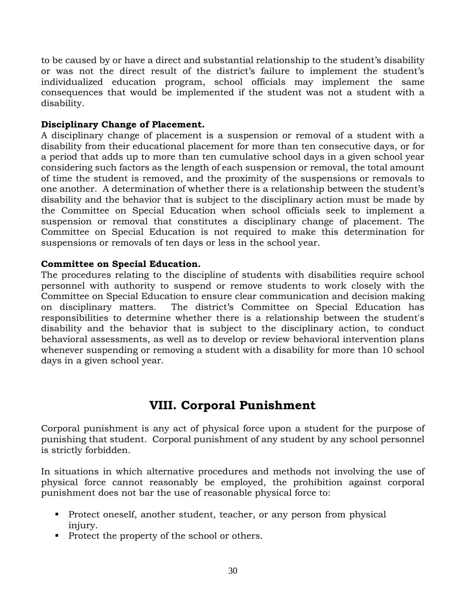to be caused by or have a direct and substantial relationship to the student's disability or was not the direct result of the district's failure to implement the student's individualized education program, school officials may implement the same consequences that would be implemented if the student was not a student with a disability.

#### **Disciplinary Change of Placement.**

A disciplinary change of placement is a suspension or removal of a student with a disability from their educational placement for more than ten consecutive days, or for a period that adds up to more than ten cumulative school days in a given school year considering such factors as the length of each suspension or removal, the total amount of time the student is removed, and the proximity of the suspensions or removals to one another. A determination of whether there is a relationship between the student's disability and the behavior that is subject to the disciplinary action must be made by the Committee on Special Education when school officials seek to implement a suspension or removal that constitutes a disciplinary change of placement. The Committee on Special Education is not required to make this determination for suspensions or removals of ten days or less in the school year.

#### **Committee on Special Education.**

The procedures relating to the discipline of students with disabilities require school personnel with authority to suspend or remove students to work closely with the Committee on Special Education to ensure clear communication and decision making on disciplinary matters. The district's Committee on Special Education has responsibilities to determine whether there is a relationship between the student's disability and the behavior that is subject to the disciplinary action, to conduct behavioral assessments, as well as to develop or review behavioral intervention plans whenever suspending or removing a student with a disability for more than 10 school days in a given school year.

# **VIII. Corporal Punishment**

Corporal punishment is any act of physical force upon a student for the purpose of punishing that student. Corporal punishment of any student by any school personnel is strictly forbidden.

In situations in which alternative procedures and methods not involving the use of physical force cannot reasonably be employed, the prohibition against corporal punishment does not bar the use of reasonable physical force to:

- Protect oneself, another student, teacher, or any person from physical injury.
- Protect the property of the school or others.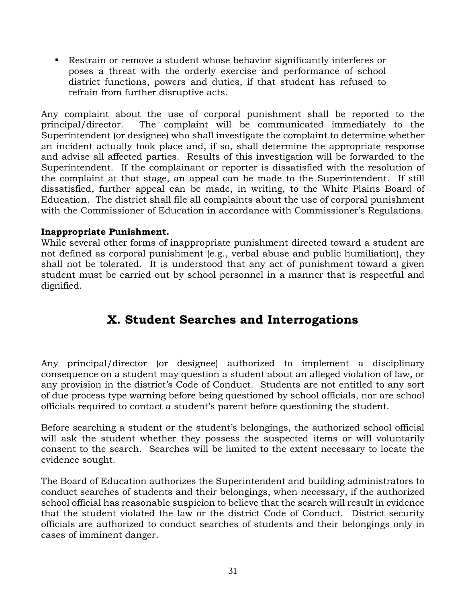▪ Restrain or remove a student whose behavior significantly interferes or poses a threat with the orderly exercise and performance of school district functions, powers and duties, if that student has refused to refrain from further disruptive acts.

Any complaint about the use of corporal punishment shall be reported to the principal/director. The complaint will be communicated immediately to the Superintendent (or designee) who shall investigate the complaint to determine whether an incident actually took place and, if so, shall determine the appropriate response and advise all affected parties. Results of this investigation will be forwarded to the Superintendent. If the complainant or reporter is dissatisfied with the resolution of the complaint at that stage, an appeal can be made to the Superintendent. If still dissatisfied, further appeal can be made, in writing, to the White Plains Board of Education. The district shall file all complaints about the use of corporal punishment with the Commissioner of Education in accordance with Commissioner's Regulations.

### **Inappropriate Punishment.**

While several other forms of inappropriate punishment directed toward a student are not defined as corporal punishment (e.g., verbal abuse and public humiliation), they shall not be tolerated. It is understood that any act of punishment toward a given student must be carried out by school personnel in a manner that is respectful and dignified.

# **X. Student Searches and Interrogations**

Any principal/director (or designee) authorized to implement a disciplinary consequence on a student may question a student about an alleged violation of law, or any provision in the district's Code of Conduct. Students are not entitled to any sort of due process type warning before being questioned by school officials, nor are school officials required to contact a student's parent before questioning the student.

Before searching a student or the student's belongings, the authorized school official will ask the student whether they possess the suspected items or will voluntarily consent to the search. Searches will be limited to the extent necessary to locate the evidence sought.

The Board of Education authorizes the Superintendent and building administrators to conduct searches of students and their belongings, when necessary, if the authorized school official has reasonable suspicion to believe that the search will result in evidence that the student violated the law or the district Code of Conduct. District security officials are authorized to conduct searches of students and their belongings only in cases of imminent danger.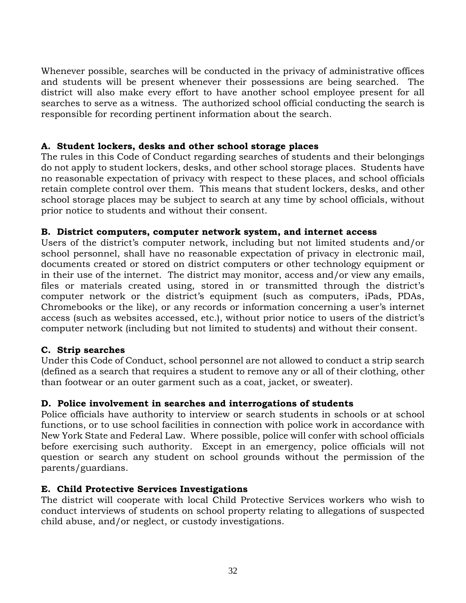Whenever possible, searches will be conducted in the privacy of administrative offices and students will be present whenever their possessions are being searched. The district will also make every effort to have another school employee present for all searches to serve as a witness. The authorized school official conducting the search is responsible for recording pertinent information about the search.

### **A. Student lockers, desks and other school storage places**

The rules in this Code of Conduct regarding searches of students and their belongings do not apply to student lockers, desks, and other school storage places. Students have no reasonable expectation of privacy with respect to these places, and school officials retain complete control over them. This means that student lockers, desks, and other school storage places may be subject to search at any time by school officials, without prior notice to students and without their consent.

#### **B. District computers, computer network system, and internet access**

Users of the district's computer network, including but not limited students and/or school personnel, shall have no reasonable expectation of privacy in electronic mail, documents created or stored on district computers or other technology equipment or in their use of the internet. The district may monitor, access and/or view any emails, files or materials created using, stored in or transmitted through the district's computer network or the district's equipment (such as computers, iPads, PDAs, Chromebooks or the like), or any records or information concerning a user's internet access (such as websites accessed, etc.), without prior notice to users of the district's computer network (including but not limited to students) and without their consent.

#### **C. Strip searches**

Under this Code of Conduct, school personnel are not allowed to conduct a strip search (defined as a search that requires a student to remove any or all of their clothing, other than footwear or an outer garment such as a coat, jacket, or sweater).

# **D. Police involvement in searches and interrogations of students**

Police officials have authority to interview or search students in schools or at school functions, or to use school facilities in connection with police work in accordance with New York State and Federal Law. Where possible, police will confer with school officials before exercising such authority. Except in an emergency, police officials will not question or search any student on school grounds without the permission of the parents/guardians.

# **E. Child Protective Services Investigations**

The district will cooperate with local Child Protective Services workers who wish to conduct interviews of students on school property relating to allegations of suspected child abuse, and/or neglect, or custody investigations.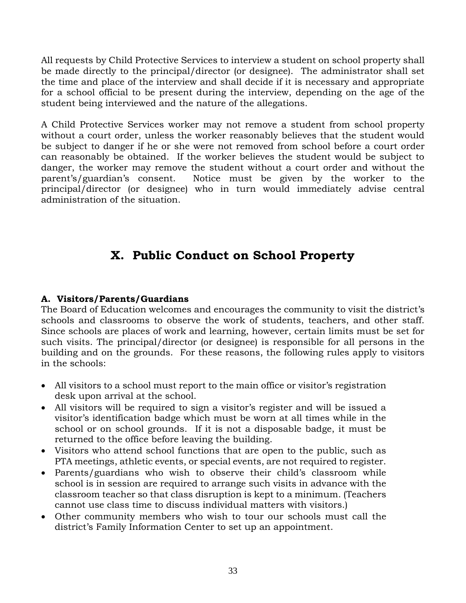All requests by Child Protective Services to interview a student on school property shall be made directly to the principal/director (or designee). The administrator shall set the time and place of the interview and shall decide if it is necessary and appropriate for a school official to be present during the interview, depending on the age of the student being interviewed and the nature of the allegations.

A Child Protective Services worker may not remove a student from school property without a court order, unless the worker reasonably believes that the student would be subject to danger if he or she were not removed from school before a court order can reasonably be obtained. If the worker believes the student would be subject to danger, the worker may remove the student without a court order and without the parent's/guardian's consent. Notice must be given by the worker to the principal/director (or designee) who in turn would immediately advise central administration of the situation.

# **X. Public Conduct on School Property**

# **A. Visitors/Parents/Guardians**

The Board of Education welcomes and encourages the community to visit the district's schools and classrooms to observe the work of students, teachers, and other staff. Since schools are places of work and learning, however, certain limits must be set for such visits. The principal/director (or designee) is responsible for all persons in the building and on the grounds. For these reasons, the following rules apply to visitors in the schools:

- All visitors to a school must report to the main office or visitor's registration desk upon arrival at the school.
- All visitors will be required to sign a visitor's register and will be issued a visitor's identification badge which must be worn at all times while in the school or on school grounds. If it is not a disposable badge, it must be returned to the office before leaving the building.
- Visitors who attend school functions that are open to the public, such as PTA meetings, athletic events, or special events, are not required to register.
- Parents/guardians who wish to observe their child's classroom while school is in session are required to arrange such visits in advance with the classroom teacher so that class disruption is kept to a minimum. (Teachers cannot use class time to discuss individual matters with visitors.)
- Other community members who wish to tour our schools must call the district's Family Information Center to set up an appointment.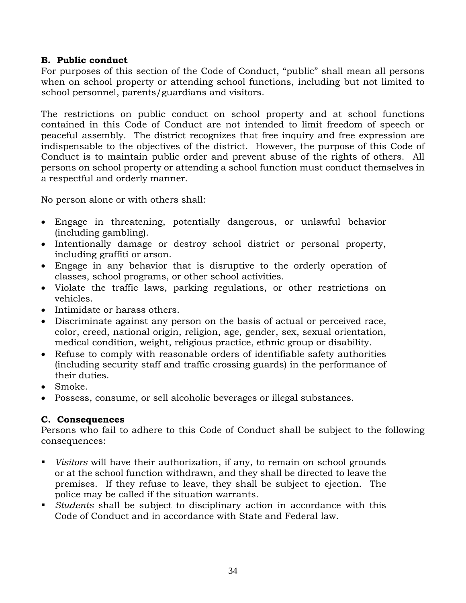# **B. Public conduct**

For purposes of this section of the Code of Conduct, "public" shall mean all persons when on school property or attending school functions, including but not limited to school personnel, parents/guardians and visitors.

The restrictions on public conduct on school property and at school functions contained in this Code of Conduct are not intended to limit freedom of speech or peaceful assembly. The district recognizes that free inquiry and free expression are indispensable to the objectives of the district. However, the purpose of this Code of Conduct is to maintain public order and prevent abuse of the rights of others. All persons on school property or attending a school function must conduct themselves in a respectful and orderly manner.

No person alone or with others shall:

- Engage in threatening, potentially dangerous, or unlawful behavior (including gambling).
- Intentionally damage or destroy school district or personal property, including graffiti or arson.
- Engage in any behavior that is disruptive to the orderly operation of classes, school programs, or other school activities.
- Violate the traffic laws, parking regulations, or other restrictions on vehicles.
- Intimidate or harass others.
- Discriminate against any person on the basis of actual or perceived race, color, creed, national origin, religion, age, gender, sex, sexual orientation, medical condition, weight, religious practice, ethnic group or disability.
- Refuse to comply with reasonable orders of identifiable safety authorities (including security staff and traffic crossing guards) in the performance of their duties.
- Smoke.
- Possess, consume, or sell alcoholic beverages or illegal substances.

# **C. Consequences**

Persons who fail to adhere to this Code of Conduct shall be subject to the following consequences:

- *Visitors* will have their authorization, if any, to remain on school grounds or at the school function withdrawn, and they shall be directed to leave the premises. If they refuse to leave, they shall be subject to ejection. The police may be called if the situation warrants.
- *Students* shall be subject to disciplinary action in accordance with this Code of Conduct and in accordance with State and Federal law.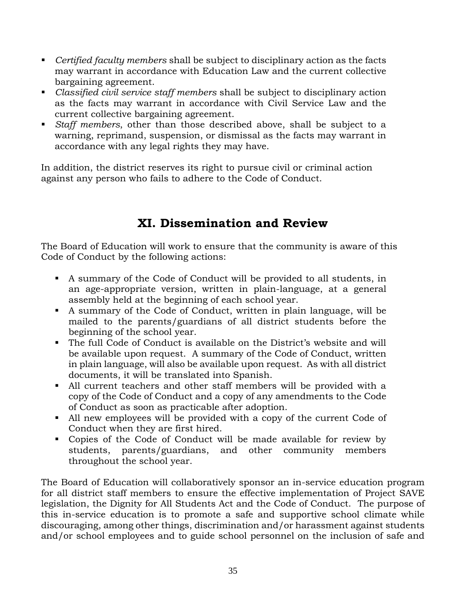- *Certified faculty members* shall be subject to disciplinary action as the facts may warrant in accordance with Education Law and the current collective bargaining agreement.
- *Classified civil service staff members* shall be subject to disciplinary action as the facts may warrant in accordance with Civil Service Law and the current collective bargaining agreement.
- *Staff members*, other than those described above, shall be subject to a warning, reprimand, suspension, or dismissal as the facts may warrant in accordance with any legal rights they may have.

In addition, the district reserves its right to pursue civil or criminal action against any person who fails to adhere to the Code of Conduct.

# **XI. Dissemination and Review**

The Board of Education will work to ensure that the community is aware of this Code of Conduct by the following actions:

- A summary of the Code of Conduct will be provided to all students, in an age-appropriate version, written in plain-language, at a general assembly held at the beginning of each school year.
- A summary of the Code of Conduct, written in plain language, will be mailed to the parents/guardians of all district students before the beginning of the school year.
- The full Code of Conduct is available on the District's website and will be available upon request. A summary of the Code of Conduct, written in plain language, will also be available upon request. As with all district documents, it will be translated into Spanish.
- All current teachers and other staff members will be provided with a copy of the Code of Conduct and a copy of any amendments to the Code of Conduct as soon as practicable after adoption.
- All new employees will be provided with a copy of the current Code of Conduct when they are first hired.
- Copies of the Code of Conduct will be made available for review by students, parents/guardians, and other community members throughout the school year.

The Board of Education will collaboratively sponsor an in-service education program for all district staff members to ensure the effective implementation of Project SAVE legislation, the Dignity for All Students Act and the Code of Conduct. The purpose of this in-service education is to promote a safe and supportive school climate while discouraging, among other things, discrimination and/or harassment against students and/or school employees and to guide school personnel on the inclusion of safe and